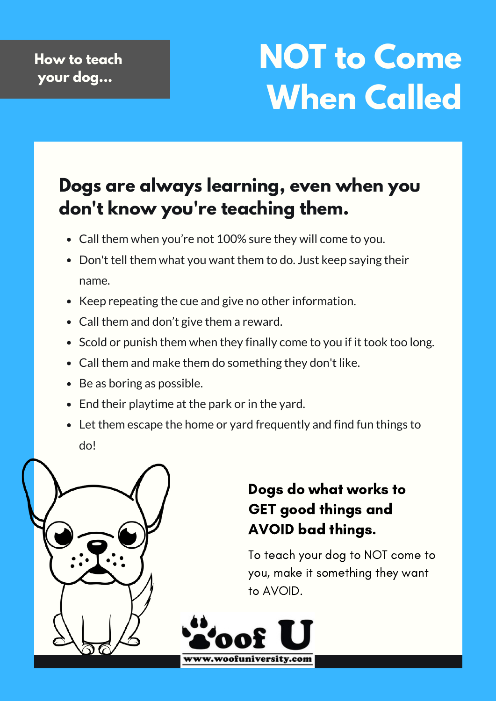# **NOT to Come When Called**

## **Dogs are always learning, even when you don't know you're teaching them.**

- Call them when you're not 100% sure they will come to you.
- Don't tell them what you want them to do. Just keep saying their name.
- Keep repeating the cue and give no other information.
- Call them and don't give them a reward.
- Scold or punish them when they finally come to you if it took too long.
- Call them and make them do something they don't like.
- Be as boring as possible.
- End their playtime at the park or in the yard.
- Let them escape the home or yard frequently and find fun things to do!



### Dogs do what works to GET good things and AVOID bad things.

To teach your dog to NOT come to you, make it something they want to AVOID.